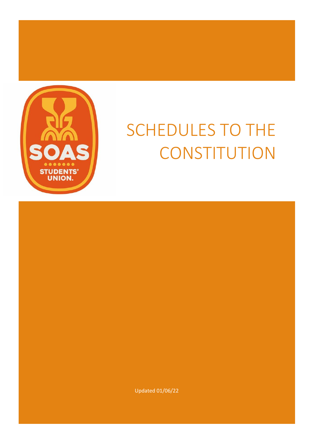<span id="page-0-0"></span>

# SCHEDULES TO THE **CONSTITUTION**

Updated 01/06/22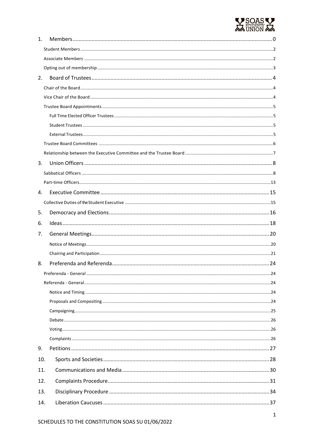

| 1.  |  |
|-----|--|
|     |  |
|     |  |
|     |  |
| 2.  |  |
|     |  |
|     |  |
|     |  |
|     |  |
|     |  |
|     |  |
|     |  |
|     |  |
| 3.  |  |
|     |  |
|     |  |
| 4.  |  |
|     |  |
| 5.  |  |
| 6.  |  |
| 7.  |  |
|     |  |
|     |  |
| 8.  |  |
|     |  |
|     |  |
|     |  |
|     |  |
|     |  |
|     |  |
|     |  |
|     |  |
| 9.  |  |
| 10. |  |
| 11. |  |
| 12. |  |
| 13. |  |
| 14. |  |
|     |  |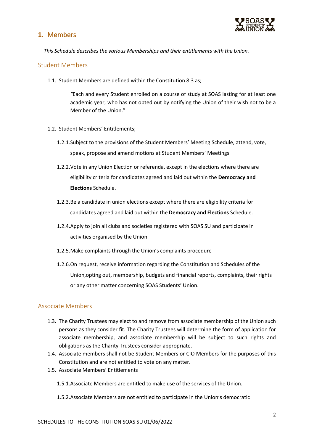# **1.** Members



*This Schedule describes the various Memberships and their entitlements with the Union.*

## <span id="page-2-0"></span>Student Members

1.1. Student Members are defined within the Constitution 8.3 as;

*"*Each and every Student enrolled on a course of study at SOAS lasting for at least one academic year, who has not opted out by notifying the Union of their wish not to be a Member of the Union."

- 1.2. Student Members' Entitlements;
	- 1.2.1.Subject to the provisions of the Student Members' Meeting Schedule, attend, vote, speak, propose and amend motions at Student Members' Meetings
	- 1.2.2.Vote in any Union Election or referenda, except in the elections where there are eligibility criteria for candidates agreed and laid out within the **Democracy and Elections** Schedule.
	- 1.2.3.Be a candidate in union elections except where there are eligibility criteria for candidates agreed and laid out within the **Democracy and Elections** Schedule.
	- 1.2.4.Apply to join all clubs and societies registered with SOAS SU and participate in activities organised by the Union
	- 1.2.5.Make complaints through the Union's complaints procedure
	- 1.2.6.On request, receive information regarding the Constitution and Schedules of the Union,opting out, membership, budgets and financial reports, complaints, their rights or any other matter concerning SOAS Students' Union.

## <span id="page-2-1"></span>Associate Members

- 1.3. The Charity Trustees may elect to and remove from associate membership of the Union such persons as they consider fit. The Charity Trustees will determine the form of application for associate membership, and associate membership will be subject to such rights and obligations as the Charity Trustees consider appropriate.
- 1.4. Associate members shall not be Student Members or CIO Members for the purposes of this Constitution and are not entitled to vote on any matter.
- 1.5. Associate Members' Entitlements
	- 1.5.1.Associate Members are entitled to make use of the services of the Union.
	- 1.5.2.Associate Members are not entitled to participate in the Union's democratic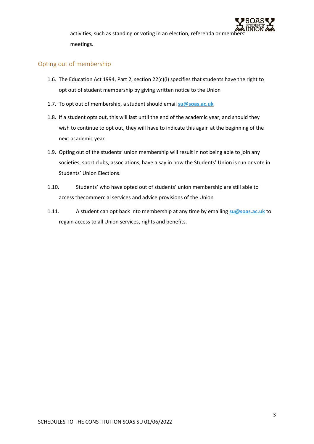

activities, such as standing or voting in an election, referenda or members meetings.

## <span id="page-3-0"></span>Opting out of membership

- 1.6. The Education Act 1994, Part 2, section  $22(c)(i)$  specifies that students have the right to opt out of student membership by giving written notice to the Union
- 1.7. To opt out of membership, a student should email **[su@soas.ac.uk](mailto:su@soas.ac.uk)**
- 1.8. If a student opts out, this will last until the end of the academic year, and should they wish to continue to opt out, they will have to indicate this again at the beginning of the next academic year.
- 1.9. Opting out of the students' union membership will result in not being able to join any societies, sport clubs, associations, have a say in how the Students' Union is run or vote in Students' Union Elections.
- 1.10. Students' who have opted out of students' union membership are still able to access thecommercial services and advice provisions of the Union
- 1.11. A student can opt back into membership at any time by emailing **[su@soas.ac.uk](mailto:su@soas.ac.uk)** to regain access to all Union services, rights and benefits.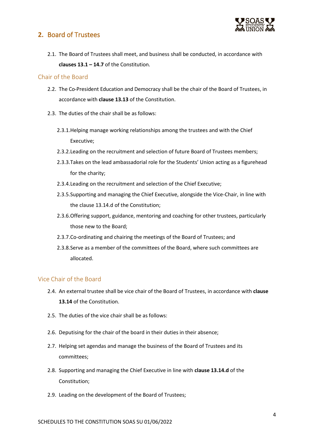# <span id="page-4-0"></span>**2.** Board of Trustees



2.1. The Board of Trustees shall meet, and business shall be conducted, in accordance with **clauses 13.1 – 14.7** of the Constitution.

## <span id="page-4-1"></span>Chair of the Board

- 2.2. The Co-President Education and Democracy shall be the chair of the Board of Trustees, in accordance with **clause 13.13** of the Constitution.
- 2.3. The duties of the chair shall be as follows:
	- 2.3.1.Helping manage working relationships among the trustees and with the Chief Executive;
	- 2.3.2.Leading on the recruitment and selection of future Board of Trustees members;
	- 2.3.3.Takes on the lead ambassadorial role for the Students' Union acting as a figurehead for the charity;
	- 2.3.4.Leading on the recruitment and selection of the Chief Executive;
	- 2.3.5.Supporting and managing the Chief Executive, alongside the Vice-Chair, in line with the clause 13.14.d of the Constitution;
	- 2.3.6.Offering support, guidance, mentoring and coaching for other trustees, particularly those new to the Board;
	- 2.3.7.Co-ordinating and chairing the meetings of the Board of Trustees; and
	- 2.3.8.Serve as a member of the committees of the Board, where such committees are allocated.

## <span id="page-4-2"></span>Vice Chair of the Board

- 2.4. An external trustee shall be vice chair of the Board of Trustees, in accordance with **clause 13.14** of the Constitution.
- 2.5. The duties of the vice chair shall be as follows:
- 2.6. Deputising for the chair of the board in their duties in their absence;
- 2.7. Helping set agendas and manage the business of the Board of Trustees and its committees;
- 2.8. Supporting and managing the Chief Executive in line with **clause 13.14.d** of the Constitution;
- 2.9. Leading on the development of the Board of Trustees;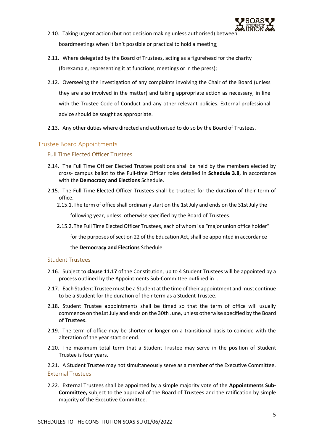

- 2.10. Taking urgent action (but not decision making unless authorised) between boardmeetings when it isn't possible or practical to hold a meeting;
- 2.11. Where delegated by the Board of Trustees, acting as a figurehead for the charity (forexample, representing it at functions, meetings or in the press);
- 2.12. Overseeing the investigation of any complaints involving the Chair of the Board (unless they are also involved in the matter) and taking appropriate action as necessary, in line with the Trustee Code of Conduct and any other relevant policies. External professional advice should be sought as appropriate.
- 2.13. Any other duties where directed and authorised to do so by the Board of Trustees.

## <span id="page-5-1"></span><span id="page-5-0"></span>Trustee Board Appointments

#### Full Time Elected Officer Trustees

- 2.14. The Full Time Officer Elected Trustee positions shall be held by the members elected by cross- campus ballot to the Full-time Officer roles detailed in **Schedule 3.8**, in accordance with the **Democracy and Elections** Schedule.
- 2.15. The Full Time Elected Officer Trustees shall be trustees for the duration of their term of office.
	- 2.15.1.The term of office shall ordinarily start on the 1st July and ends on the 31st July the

following year, unless otherwise specified by the Board of Trustees.

2.15.2.The Full Time Elected Officer Trustees, each of whom is a "major union office holder"

for the purposes of section 22 of the Education Act, shall be appointed in accordance

the **Democracy and Elections** Schedule.

## <span id="page-5-2"></span>Student Trustees

- 2.16. Subject to **clause 11.17** of the Constitution, up to 4 Student Trustees will be appointed by a process outlined by the Appointments Sub-Committee outlined in .
- 2.17. Each Student Trustee must be a Student at the time of their appointment and must continue to be a Student for the duration of their term as a Student Trustee.
- 2.18. Student Trustee appointments shall be timed so that the term of office will usually commence on the1st July and ends on the 30th June, unless otherwise specified by the Board of Trustees.
- 2.19. The term of office may be shorter or longer on a transitional basis to coincide with the alteration of the year start or end.
- 2.20. The maximum total term that a Student Trustee may serve in the position of Student Trustee is four years.
- <span id="page-5-3"></span>2.21. A Student Trustee may not simultaneously serve as a member of the Executive Committee. External Trustees
- 2.22. External Trustees shall be appointed by a simple majority vote of the **Appointments Sub-Committee,** subject to the approval of the Board of Trustees and the ratification by simple majority of the Executive Committee.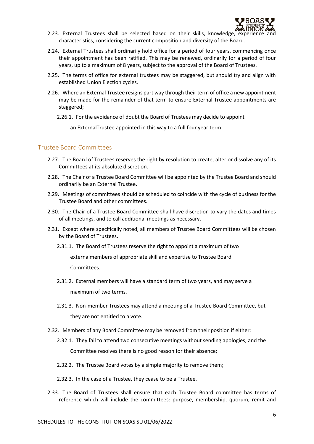

- 2.23. External Trustees shall be selected based on their skills, knowledge, experience characteristics, considering the current composition and diversity of the Board.
- 2.24. External Trustees shall ordinarily hold office for a period of four years, commencing once their appointment has been ratified. This may be renewed, ordinarily for a period of four years, up to a maximum of 8 years, subject to the approval of the Board of Trustees.
- 2.25. The terms of office for external trustees may be staggered, but should try and align with established Union Election cycles.
- 2.26. Where an External Trustee resigns part way through their term of office a new appointment may be made for the remainder of that term to ensure External Trustee appointments are staggered;
	- 2.26.1. For the avoidance of doubt the Board of Trustees may decide to appoint

an ExternalTrustee appointed in this way to a full four year term.

#### <span id="page-6-0"></span>Trustee Board Committees

- 2.27. The Board of Trustees reserves the right by resolution to create, alter or dissolve any of its Committees at its absolute discretion.
- 2.28. The Chair of a Trustee Board Committee will be appointed by the Trustee Board and should ordinarily be an External Trustee.
- 2.29. Meetings of committees should be scheduled to coincide with the cycle of business for the Trustee Board and other committees.
- 2.30. The Chair of a Trustee Board Committee shall have discretion to vary the dates and times of all meetings, and to call additional meetings as necessary.
- 2.31. Except where specifically noted, all members of Trustee Board Committees will be chosen by the Board of Trustees.
	- 2.31.1. The Board of Trustees reserve the right to appoint a maximum of two

externalmembers of appropriate skill and expertise to Trustee Board Committees.

- 2.31.2. External members will have a standard term of two years, and may serve a maximum of two terms.
- 2.31.3. Non-member Trustees may attend a meeting of a Trustee Board Committee, but they are not entitled to a vote.
- 2.32. Members of any Board Committee may be removed from their position if either:
	- 2.32.1. They fail to attend two consecutive meetings without sending apologies, and the Committee resolves there is no good reason for their absence;
	- 2.32.2. The Trustee Board votes by a simple majority to remove them;
	- 2.32.3. In the case of a Trustee, they cease to be a Trustee.
- 2.33. The Board of Trustees shall ensure that each Trustee Board committee has terms of reference which will include the committees: purpose, membership, quorum, remit and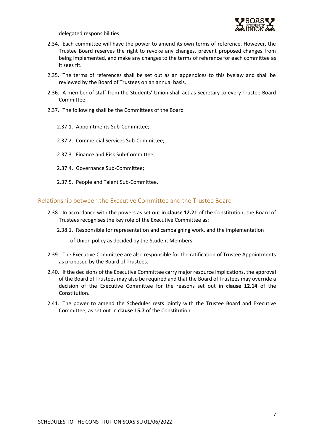

delegated responsibilities.

- 2.34. Each committee will have the power to amend its own terms of reference. However, the Trustee Board reserves the right to revoke any changes, prevent proposed changes from being implemented, and make any changes to the terms of reference for each committee as it sees fit.
- 2.35. The terms of references shall be set out as an appendices to this byelaw and shall be reviewed by the Board of Trustees on an annual basis.
- 2.36. A member of staff from the Students' Union shall act as Secretary to every Trustee Board Committee.
- 2.37. The following shall be the Committees of the Board
	- 2.37.1. Appointments Sub-Committee;
	- 2.37.2. Commercial Services Sub-Committee;
	- 2.37.3. Finance and Risk Sub-Committee;
	- 2.37.4. Governance Sub-Committee;
	- 2.37.5. People and Talent Sub-Committee.

#### <span id="page-7-0"></span>Relationship between the Executive Committee and the Trustee Board

- 2.38. In accordance with the powers as set out in **clause 12.21** of the Constitution, the Board of Trustees recognises the key role of the Executive Committee as:
	- 2.38.1. Responsible for representation and campaigning work, and the implementation

of Union policy as decided by the Student Members;

- 2.39. The Executive Committee are also responsible for the ratification of Trustee Appointments as proposed by the Board of Trustees.
- 2.40. If the decisions of the Executive Committee carry major resource implications, the approval of the Board of Trustees may also be required and that the Board of Trustees may override a decision of the Executive Committee for the reasons set out in **clause 12.14** of the Constitution.
- 2.41. The power to amend the Schedules rests jointly with the Trustee Board and Executive Committee, as set out in **clause 15.7** of the Constitution.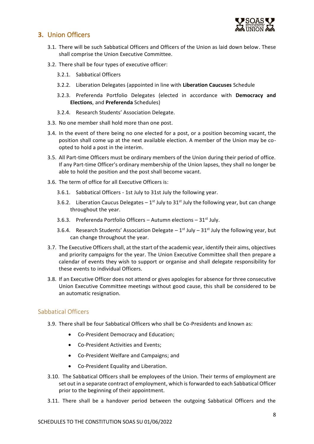

# <span id="page-8-0"></span>**3.** Union Officers

- 3.1. There will be such Sabbatical Officers and Officers of the Union as laid down below. These shall comprise the Union Executive Committee.
- 3.2. There shall be four types of executive officer:
	- 3.2.1. Sabbatical Officers
	- 3.2.2. Liberation Delegates (appointed in line with **Liberation Caucuses** Schedule
	- 3.2.3. Preferenda Portfolio Delegates (elected in accordance with **Democracy and Elections**, and **Preferenda** Schedules)
	- 3.2.4. Research Students' Association Delegate.
- 3.3. No one member shall hold more than one post.
- 3.4. In the event of there being no one elected for a post, or a position becoming vacant, the position shall come up at the next available election. A member of the Union may be coopted to hold a post in the interim.
- 3.5. All Part-time Officers must be ordinary members of the Union during their period of office. If any Part-time Officer's ordinary membership of the Union lapses, they shall no longer be able to hold the position and the post shall become vacant.
- 3.6. The term of office for all Executive Officers is:
	- 3.6.1. Sabbatical Officers 1st July to 31st July the following year.
	- 3.6.2. Liberation Caucus Delegates  $-1^{st}$  July to 31 $^{st}$  July the following year, but can change throughout the year.
	- 3.6.3. Preferenda Portfolio Officers Autumn elections  $31<sup>st</sup>$  July.
	- 3.6.4. Research Students' Association Delegate  $-1^{st}$  July  $-31^{st}$  July the following year, but can change throughout the year.
- 3.7. The Executive Officers shall, at the start of the academic year, identify their aims, objectives and priority campaigns for the year. The Union Executive Committee shall then prepare a calendar of events they wish to support or organise and shall delegate responsibility for these events to individual Officers.
- 3.8. If an Executive Officer does not attend or gives apologies for absence for three consecutive Union Executive Committee meetings without good cause, this shall be considered to be an automatic resignation.

## <span id="page-8-1"></span>Sabbatical Officers

- 3.9. There shall be four Sabbatical Officers who shall be Co-Presidents and known as:
	- Co-President Democracy and Education;
	- Co-President Activities and Events;
	- Co-President Welfare and Campaigns; and
	- Co-President Equality and Liberation.
- 3.10. The Sabbatical Officers shall be employees of the Union. Their terms of employment are set out in a separate contract of employment, which is forwarded to each Sabbatical Officer prior to the beginning of their appointment.
- 3.11. There shall be a handover period between the outgoing Sabbatical Officers and the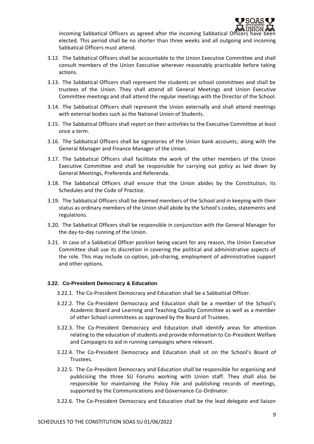

incoming Sabbatical Officers as agreed after the incoming Sabbatical Officers have been elected. This period shall be no shorter than three weeks and all outgoing and incoming Sabbatical Officers must attend.

- 3.12. The Sabbatical Officers shall be accountable to the Union Executive Committee and shall consult members of the Union Executive wherever reasonably practicable before taking actions.
- 3.13. The Sabbatical Officers shall represent the students on school committees and shall be trustees of the Union. They shall attend all General Meetings and Union Executive Committee meetings and shall attend the regular meetings with the Director of the School.
- 3.14. The Sabbatical Officers shall represent the Union externally and shall attend meetings with external bodies such as the National Union of Students.
- 3.15. The Sabbatical Officers shall report on their activities to the Executive Committee at least once a term.
- 3.16. The Sabbatical Officers shall be signatories of the Union bank accounts, along with the General Manager and Finance Manager of the Union.
- 3.17. The Sabbatical Officers shall facilitate the work of the other members of the Union Executive Committee and shall be responsible for carrying out policy as laid down by General Meetings, Preferenda and Referenda.
- 3.18. The Sabbatical Officers shall ensure that the Union abides by the Constitution, its Schedules and the Code of Practice.
- 3.19. The Sabbatical Officers shall be deemed members of the School and in keeping with their status as ordinary members of the Union shall abide by the School's codes, statements and regulations.
- 3.20. The Sabbatical Officers shall be responsible in conjunction with the General Manager for the day-to-day running of the Union.
- 3.21. In case of a Sabbatical Officer position being vacant for any reason, the Union Executive Committee shall use its discretion in covering the political and administrative aspects of the role. This may include co-option, job-sharing, employment of administrative support and other options.

#### **3.22. Co-President Democracy & Education**

- 3.22.1. The Co-President Democracy and Education shall be a Sabbatical Officer.
- 3.22.2. The Co-President Democracy and Education shall be a member of the School's Academic Board and Learning and Teaching Quality Committee as well as a member of other School committees as approved by the Board of Trustees.
- 3.22.3. The Co-President Democracy and Education shall identify areas for attention relating to the education of students and provide information to Co-President Welfare and Campaigns to aid in running campaigns where relevant.
- 3.22.4. The Co-President Democracy and Education shall sit on the School's Board of Trustees.
- 3.22.5. The Co-President Democracy and Education shall be responsible for organising and publicising the three SU Forums working with Union staff. They shall also be responsible for maintaining the Policy File and publishing records of meetings, supported by the Communications and Governance Co-Ordinator.
- 3.22.6. The Co-President Democracy and Education shall be the lead delegate and liaison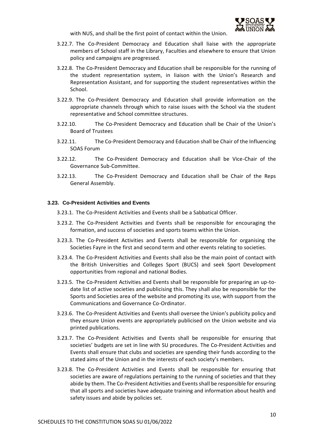

with NUS, and shall be the first point of contact within the Union.

- 3.22.7. The Co-President Democracy and Education shall liaise with the appropriate members of School staff in the Library, Faculties and elsewhere to ensure that Union policy and campaigns are progressed.
- 3.22.8. The Co-President Democracy and Education shall be responsible for the running of the student representation system, in liaison with the Union's Research and Representation Assistant, and for supporting the student representatives within the School.
- 3.22.9. The Co-President Democracy and Education shall provide information on the appropriate channels through which to raise issues with the School via the student representative and School committee structures.
- 3.22.10. The Co-President Democracy and Education shall be Chair of the Union's Board of Trustees
- 3.22.11. The Co-President Democracy and Education shall be Chair of the Influencing SOAS Forum
- 3.22.12. The Co-President Democracy and Education shall be Vice-Chair of the Governance Sub-Committee.
- 3.22.13. The Co-President Democracy and Education shall be Chair of the Reps General Assembly.

#### **3.23. Co-President Activities and Events**

- 3.23.1. The Co-President Activities and Events shall be a Sabbatical Officer.
- 3.23.2. The Co-President Activities and Events shall be responsible for encouraging the formation, and success of societies and sports teams within the Union.
- 3.23.3. The Co-President Activities and Events shall be responsible for organising the Societies Fayre in the first and second term and other events relating to societies.
- 3.23.4. The Co-President Activities and Events shall also be the main point of contact with the British Universities and Colleges Sport (BUCS) and seek Sport Development opportunities from regional and national Bodies.
- 3.23.5. The Co-President Activities and Events shall be responsible for preparing an up-todate list of active societies and publicising this. They shall also be responsible for the Sports and Societies area of the website and promoting its use, with support from the Communications and Governance Co-Ordinator.
- 3.23.6. The Co-President Activities and Events shall oversee the Union's publicity policy and they ensure Union events are appropriately publicised on the Union website and via printed publications.
- 3.23.7. The Co-President Activities and Events shall be responsible for ensuring that societies' budgets are set in line with SU procedures. The Co-President Activities and Events shall ensure that clubs and societies are spending their funds according to the stated aims of the Union and in the interests of each society's members.
- 3.23.8. The Co-President Activities and Events shall be responsible for ensuring that societies are aware of regulations pertaining to the running of societies and that they abide by them. The Co-President Activities and Events shall be responsible for ensuring that all sports and societies have adequate training and information about health and safety issues and abide by policies set.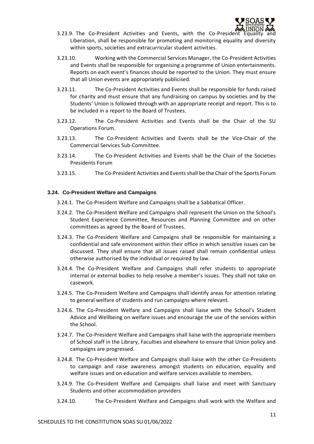

- $3.23.9$ . The Co-President Activities and Events, with the Co-President Liberation, shall be responsible for promoting and monitoring equality and diversity within sports, societies and extracurricular student activities.
- 3.23.10. Working with the Commercial Services Manager, the Co-President Activities and Events shall be responsible for organising a programme of Union entertainments. Reports on each event's finances should be reported to the Union. They must ensure that all Union events are appropriately publicised.
- 3.23.11. The Co-President Activities and Events shall be responsible for funds raised for charity and must ensure that any fundraising on campus by societies and by the Students' Union is followed through with an appropriate receipt and report. This is to be included in a report to the Board of Trustees.
- 3.23.12. The Co-President Activities and Events shall be the Chair of the SU Operations Forum.
- 3.23.13. The Co-President Activities and Events shall be the Vice-Chair of the Commercial Services Sub-Committee.
- 3.23.14. The Co-President Activities and Events shall be the Chair of the Societies Presidents Forum
- 3.23.15. The Co-President Activities and Events shall be the Chair of the Sports Forum

#### **3.24. Co-President Welfare and Campaigns**

- 3.24.1. The Co-President Welfare and Campaigns shall be a Sabbatical Officer.
- 3.24.2. The Co-President Welfare and Campaigns shall represent the Union on the School's Student Experience Committee, Resources and Planning Committee and on other committees as agreed by the Board of Trustees.
- 3.24.3. The Co-President Welfare and Campaigns shall be responsible for maintaining a confidential and safe environment within their office in which sensitive issues can be discussed. They shall ensure that all issues raised shall remain confidential unless otherwise authorised by the individual or required by law.
- 3.24.4. The Co-President Welfare and Campaigns shall refer students to appropriate internal or external bodies to help resolve a member's issues. They shall not take on casework.
- 3.24.5. The Co-President Welfare and Campaigns shall identify areas for attention relating to general welfare of students and run campaigns where relevant.
- 3.24.6. The Co-President Welfare and Campaigns shall liaise with the School's Student Advice and Wellbeing on welfare issues and encourage the use of the services within the School.
- 3.24.7. The Co-President Welfare and Campaigns shall liaise with the appropriate members of School staff in the Library, Faculties and elsewhere to ensure that Union policy and campaigns are progressed.
- 3.24.8. The Co-President Welfare and Campaigns shall liaise with the other Co-Presidents to campaign and raise awareness amongst students on education, equality and welfare issues and on education and welfare services available to members.
- 3.24.9. The Co-President Welfare and Campaigns shall liaise and meet with Sanctuary Students and other accommodation providers
- 3.24.10. The Co-President Welfare and Campaigns shall work with the Welfare and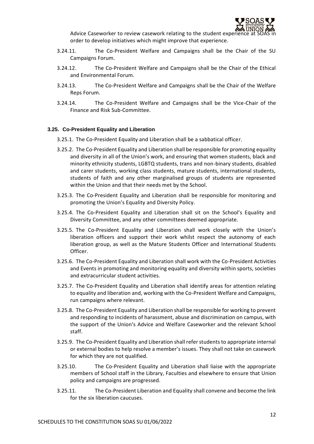

Advice Caseworker to review casework relating to the student experience at order to develop initiatives which might improve that experience.

- 3.24.11. The Co-President Welfare and Campaigns shall be the Chair of the SU Campaigns Forum.
- 3.24.12. The Co-President Welfare and Campaigns shall be the Chair of the Ethical and Environmental Forum.
- 3.24.13. The Co-President Welfare and Campaigns shall be the Chair of the Welfare Reps Forum.
- 3.24.14. The Co-President Welfare and Campaigns shall be the Vice-Chair of the Finance and Risk Sub-Committee.

#### **3.25. Co-President Equality and Liberation**

- 3.25.1. The Co-President Equality and Liberation shall be a sabbatical officer.
- 3.25.2. The Co-President Equality and Liberation shall be responsible for promoting equality and diversity in all of the Union's work, and ensuring that women students, black and minority ethnicity students, LGBTQ students, trans and non-binary students, disabled and carer students, working class students, mature students, international students, students of faith and any other marginalised groups of students are represented within the Union and that their needs met by the School.
- 3.25.3. The Co-President Equality and Liberation shall be responsible for monitoring and promoting the Union's Equality and Diversity Policy.
- 3.25.4. The Co-President Equality and Liberation shall sit on the School's Equality and Diversity Committee, and any other committees deemed appropriate.
- 3.25.5. The Co-President Equality and Liberation shall work closely with the Union's liberation officers and support their work whilst respect the autonomy of each liberation group, as well as the Mature Students Officer and International Students Officer.
- 3.25.6. The Co-President Equality and Liberation shall work with the Co-President Activities and Events in promoting and monitoring equality and diversity within sports, societies and extracurricular student activities.
- 3.25.7. The Co-President Equality and Liberation shall identify areas for attention relating to equality and liberation and, working with the Co-President Welfare and Campaigns, run campaigns where relevant.
- 3.25.8. The Co-President Equality and Liberation shall be responsible for working to prevent and responding to incidents of harassment, abuse and discrimination on campus, with the support of the Union's Advice and Welfare Caseworker and the relevant School staff.
- 3.25.9. The Co-President Equality and Liberation shall refer students to appropriate internal or external bodies to help resolve a member's issues. They shall not take on casework for which they are not qualified.
- 3.25.10. The Co-President Equality and Liberation shall liaise with the appropriate members of School staff in the Library, Faculties and elsewhere to ensure that Union policy and campaigns are progressed.
- 3.25.11. The Co-President Liberation and Equality shall convene and become the link for the six liberation caucuses.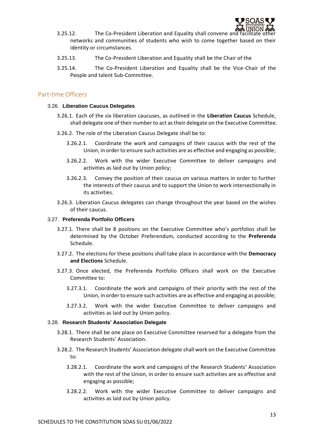

- 3.25.12. The Co-President Liberation and Equality shall convene and networks and communities of students who wish to come together based on their identity or circumstances.
- 3.25.13. The Co-President Liberation and Equality shall be the Chair of the
- 3.25.14. The Co-President Liberation and Equality shall be the Vice-Chair of the People and talent Sub-Committee.

## <span id="page-13-0"></span>Part-time Officers

#### 3.26. **Liberation Caucus Delegates**

- 3.26.1. Each of the six liberation caucuses, as outlined in the **Liberation Caucus** Schedule, shall delegate one of their number to act as their delegate on the Executive Committee.
- 3.26.2. The role of the Liberation Caucus Delegate shall be to:
	- 3.26.2.1. Coordinate the work and campaigns of their caucus with the rest of the Union, in order to ensure such activities are as effective and engaging as possible;
	- 3.26.2.2. Work with the wider Executive Committee to deliver campaigns and activities as laid out by Union policy;
	- 3.26.2.3. Convey the position of their caucus on various matters in order to further the interests of their caucus and to support the Union to work intersectionally in its activities.
- 3.26.3. Liberation Caucus delegates can change throughout the year based on the wishes of their caucus.

## 3.27. **Preferenda Portfolio Officers**

- 3.27.1. There shall be 8 positions on the Executive Committee who's portfolios shall be determined by the October Preferendum, conducted according to the **Preferenda**  Schedule.
- 3.27.2. The elections for these positions shall take place in accordance with the **Democracy and Elections** Schedule.
- 3.27.3. Once elected, the Preferenda Portfolio Officers shall work on the Executive Committee to:
	- 3.27.3.1. Coordinate the work and campaigns of their priority with the rest of the Union, in order to ensure such activities are as effective and engaging as possible;
	- 3.27.3.2. Work with the wider Executive Committee to deliver campaigns and activities as laid out by Union policy.

#### 3.28. **Research Students' Association Delegate**

- 3.28.1. There shall be one place on Executive Committee reserved for a delegate from the Research Students' Association.
- 3.28.2. The Research Students' Association delegate shall work on the Executive Committee to:
	- 3.28.2.1. Coordinate the work and campaigns of the Research Students' Association with the rest of the Union, in order to ensure such activities are as effective and engaging as possible;
	- 3.28.2.2. Work with the wider Executive Committee to deliver campaigns and activities as laid out by Union policy.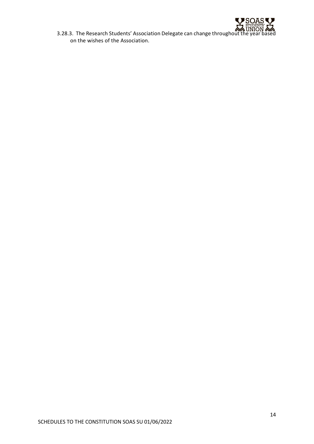

3.28.3. The Research Students' Association Delegate can change throughout the year based on the wishes of the Association.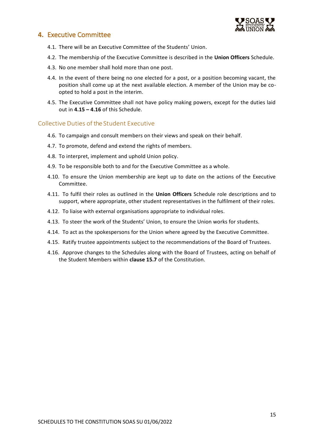

# <span id="page-15-0"></span>**4.** Executive Committee

- 4.1. There will be an Executive Committee of the Students' Union.
- 4.2. The membership of the Executive Committee is described in the **Union Officers** Schedule.
- 4.3. No one member shall hold more than one post.
- 4.4. In the event of there being no one elected for a post, or a position becoming vacant, the position shall come up at the next available election. A member of the Union may be coopted to hold a post in the interim.
- 4.5. The Executive Committee shall not have policy making powers, except for the duties laid out in **4.15 – 4.16** of this Schedule.

## <span id="page-15-1"></span>Collective Duties of the Student Executive

- 4.6. To campaign and consult members on their views and speak on their behalf.
- 4.7. To promote, defend and extend the rights of members.
- 4.8. To interpret, implement and uphold Union policy.
- 4.9. To be responsible both to and for the Executive Committee as a whole.
- 4.10. To ensure the Union membership are kept up to date on the actions of the Executive Committee.
- 4.11. To fulfil their roles as outlined in the **Union Officers** Schedule role descriptions and to support, where appropriate, other student representatives in the fulfilment of their roles.
- 4.12. To liaise with external organisations appropriate to individual roles.
- 4.13. To steer the work of the Students' Union, to ensure the Union works for students.
- 4.14. To act as the spokespersons for the Union where agreed by the Executive Committee.
- 4.15. Ratify trustee appointments subject to the recommendations of the Board of Trustees.
- 4.16. Approve changes to the Schedules along with the Board of Trustees, acting on behalf of the Student Members within **clause 15.7** of the Constitution.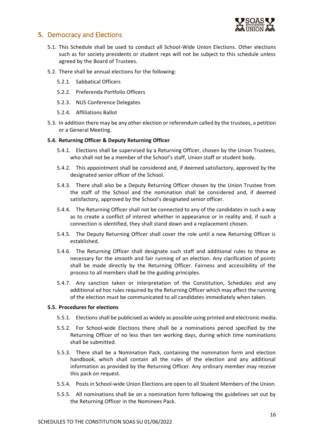

# <span id="page-16-0"></span>**5.** Democracy and Elections

- 5.1. This Schedule shall be used to conduct all School-Wide Union Elections. Other elections such as for society presidents or student reps will not be subject to this schedule unless agreed by the Board of Trustees.
- 5.2. There shall be annual elections for the following:
	- 5.2.1. Sabbatical Officers
	- 5.2.2. Preferenda Portfolio Officers
	- 5.2.3. NUS Conference Delegates
	- 5.2.4. Affiliations Ballot
- 5.3. In addition there may be any other election or referendum called by the trustees, a petition or a General Meeting.

#### **5.4. Returning Officer & Deputy Returning Officer**

- 5.4.1. Elections shall be supervised by a Returning Officer, chosen by the Union Trustees, who shall not be a member of the School's staff, Union staff or student body.
- 5.4.2. This appointment shall be considered and, if deemed satisfactory, approved by the designated senior officer of the School.
- 5.4.3. There shall also be a Deputy Returning Officer chosen by the Union Trustee from the staff of the School and the nomination shall be considered and, if deemed satisfactory, approved by the School's designated senior officer.
- 5.4.4. The Returning Officer shall not be connected to any of the candidates in such a way as to create a conflict of interest whether in appearance or in reality and, if such a connection is identified, they shall stand down and a replacement chosen.
- 5.4.5. The Deputy Returning Officer shall cover the role until a new Returning Officer is established.
- 5.4.6. The Returning Officer shall designate such staff and additional rules to these as necessary for the smooth and fair running of an election. Any clarification of points shall be made directly by the Returning Officer. Fairness and accessibility of the process to all members shall be the guiding principles.
- 5.4.7. Any sanction taken or interpretation of the Constitution, Schedules and any additional ad hoc rules required by the Returning Officer which may affect the running of the election must be communicated to all candidates immediately when taken.

#### **5.5. Procedures for elections**

- 5.5.1. Elections shall be publicised as widely as possible using printed and electronic media.
- 5.5.2. For School-wide Elections there shall be a nominations period specified by the Returning Officer of no less than ten working days, during which time nominations shall be submitted.
- 5.5.3. There shall be a Nomination Pack, containing the nomination form and election handbook, which shall contain all the rules of the election and any additional information as provided by the Returning Officer. Any ordinary member may receive this pack on request.
- 5.5.4. Posts in School-wide Union Elections are open to all Student Members of the Union.
- 5.5.5. All nominations shall be on a nomination form following the guidelines set out by the Returning Officer in the Nominees Pack.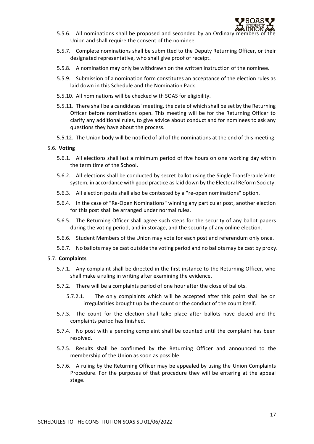

- 5.5.6. All nominations shall be proposed and seconded by an Ordinary me Union and shall require the consent of the nominee.
- 5.5.7. Complete nominations shall be submitted to the Deputy Returning Officer, or their designated representative, who shall give proof of receipt.
- 5.5.8. A nomination may only be withdrawn on the written instruction of the nominee.
- 5.5.9. Submission of a nomination form constitutes an acceptance of the election rules as laid down in this Schedule and the Nomination Pack.
- 5.5.10. All nominations will be checked with SOAS for eligibility.
- 5.5.11. There shall be a candidates' meeting, the date of which shall be set by the Returning Officer before nominations open. This meeting will be for the Returning Officer to clarify any additional rules, to give advice about conduct and for nominees to ask any questions they have about the process.
- 5.5.12. The Union body will be notified of all of the nominations at the end of this meeting.

#### 5.6. **Voting**

- 5.6.1. All elections shall last a minimum period of five hours on one working day within the term time of the School.
- 5.6.2. All elections shall be conducted by secret ballot using the Single Transferable Vote system, in accordance with good practice as laid down by the Electoral Reform Society.
- 5.6.3. All election posts shall also be contested by a "re-open nominations" option.
- 5.6.4. In the case of "Re-Open Nominations" winning any particular post, another election for this post shall be arranged under normal rules.
- 5.6.5. The Returning Officer shall agree such steps for the security of any ballot papers during the voting period, and in storage, and the security of any online election.
- 5.6.6. Student Members of the Union may vote for each post and referendum only once.
- 5.6.7. No ballots may be cast outside the voting period and no ballots may be cast by proxy.

#### 5.7. **Complaints**

- 5.7.1. Any complaint shall be directed in the first instance to the Returning Officer, who shall make a ruling in writing after examining the evidence.
- 5.7.2. There will be a complaints period of one hour after the close of ballots.
	- 5.7.2.1. The only complaints which will be accepted after this point shall be on irregularities brought up by the count or the conduct of the count itself.
- 5.7.3. The count for the election shall take place after ballots have closed and the complaints period has finished.
- 5.7.4. No post with a pending complaint shall be counted until the complaint has been resolved.
- 5.7.5. Results shall be confirmed by the Returning Officer and announced to the membership of the Union as soon as possible.
- 5.7.6. A ruling by the Returning Officer may be appealed by using the Union Complaints Procedure. For the purposes of that procedure they will be entering at the appeal stage.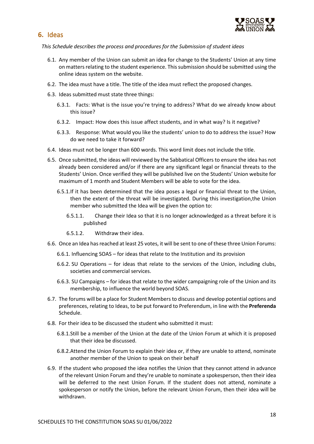

# <span id="page-18-0"></span>**6.** Ideas

*This Schedule describes the process and procedures for the Submission of student ideas*

- 6.1. Any member of the Union can submit an idea for change to the Students' Union at any time on matters relating to the student experience. This submission should be submitted using the online ideas system on the website.
- 6.2. The idea must have a title. The title of the idea must reflect the proposed changes.
- 6.3. Ideas submitted must state three things:
	- 6.3.1. Facts: What is the issue you're trying to address? What do we already know about this issue?
	- 6.3.2. Impact: How does this issue affect students, and in what way? Is it negative?
	- 6.3.3. Response: What would you like the students' union to do to address the issue? How do we need to take it forward?
- 6.4. Ideas must not be longer than 600 words. This word limit does not include the title.
- 6.5. Once submitted, the ideas will reviewed by the Sabbatical Officers to ensure the idea has not already been considered and/or if there are any significant legal or financial threats to the Students' Union. Once verified they will be published live on the Students' Union website for maximum of 1 month and Student Members will be able to vote for the idea.
	- 6.5.1.If it has been determined that the idea poses a legal or financial threat to the Union, then the extent of the threat will be investigated. During this investigation,the Union member who submitted the Idea will be given the option to:
		- 6.5.1.1. Change their Idea so that it is no longer acknowledged as a threat before it is published
		- 6.5.1.2. Withdraw their idea.
- 6.6. Once an Idea has reached at least 25 votes, it will be sent to one of these three Union Forums:
	- 6.6.1. Influencing SOAS for ideas that relate to the Institution and its provision
	- 6.6.2. SU Operations for ideas that relate to the services of the Union, including clubs, societies and commercial services.
	- 6.6.3. SU Campaigns for ideas that relate to the wider campaigning role of the Union and its membership, to influence the world beyond SOAS.
- 6.7. The forums will be a place for Student Membersto discuss and develop potential options and preferences, relating to Ideas, to be put forward to Preferendum, in line with the **Preferenda**  Schedule.
- 6.8. For their idea to be discussed the student who submitted it must:
	- 6.8.1.Still be a member of the Union at the date of the Union Forum at which it is proposed that their idea be discussed.
	- 6.8.2.Attend the Union Forum to explain their idea or, if they are unable to attend, nominate another member of the Union to speak on their behalf
- 6.9. If the student who proposed the idea notifies the Union that they cannot attend in advance of the relevant Union Forum and they're unable to nominate a spokesperson, then their idea will be deferred to the next Union Forum. If the student does not attend, nominate a spokesperson or notify the Union, before the relevant Union Forum, then their idea will be withdrawn.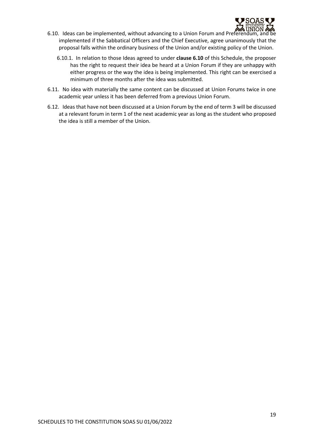

- 6.10. Ideas can be implemented, without advancing to a Union Forum and Preferendum, and be implemented if the Sabbatical Officers and the Chief Executive, agree unanimously that the proposal falls within the ordinary business of the Union and/or existing policy of the Union.
	- 6.10.1. In relation to those Ideas agreed to under **clause 6.10** of this Schedule, the proposer has the right to request their idea be heard at a Union Forum if they are unhappy with either progress or the way the idea is being implemented. This right can be exercised a minimum of three months after the idea was submitted.
- 6.11. No idea with materially the same content can be discussed at Union Forums twice in one academic year unless it has been deferred from a previous Union Forum.
- 6.12. Ideas that have not been discussed at a Union Forum by the end of term 3 will be discussed at a relevant forum in term 1 of the next academic year as long as the student who proposed the idea is still a member of the Union.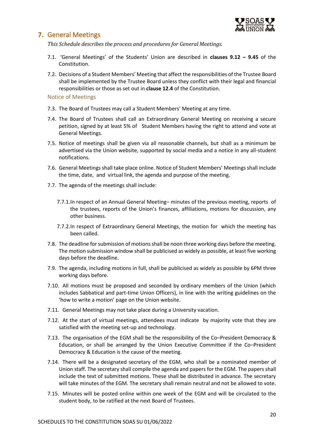

# <span id="page-20-0"></span>**7.** General Meetings

*This Schedule describes the process and procedures for General Meetings.*

- 7.1. 'General Meetings' of the Students' Union are described in **clauses 9.12 – 9.45** of the Constitution.
- 7.2. Decisions of a Student Members' Meeting that affect the responsibilities of the Trustee Board shall be implemented by the Trustee Board unless they conflict with their legal and financial responsibilities or those as set out in **clause 12.4** of the Constitution.

<span id="page-20-1"></span>Notice of Meetings

- 7.3. The Board of Trustees may call a Student Members' Meeting at any time.
- 7.4. The Board of Trustees shall call an Extraordinary General Meeting on receiving a secure petition, signed by at least 5% of Student Members having the right to attend and vote at General Meetings.
- 7.5. Notice of meetings shall be given via all reasonable channels, but shall as a minimum be advertised via the Union website, supported by social media and a notice in any all-student notifications.
- 7.6. General Meetings shall take place online. Notice of Student Members' Meetings shall include the time, date, and virtual link, the agenda and purpose of the meeting.
- 7.7. The agenda of the meetings shall include:
	- 7.7.1.In respect of an Annual General Meeting– minutes of the previous meeting, reports of the trustees, reports of the Union's finances, affiliations, motions for discussion, any other business.
	- 7.7.2.In respect of Extraordinary General Meetings, the motion for which the meeting has been called.
- 7.8. The deadline for submission of motions shall be noon three working days before the meeting. The motion submission window shall be publicised as widely as possible, at least five working days before the deadline.
- 7.9. The agenda, including motions in full, shall be publicised as widely as possible by 6PM three working days before.
- 7.10. All motions must be proposed and seconded by ordinary members of the Union (which includes Sabbatical and part-time Union Officers), in line with the writing guidelines on the 'how to write a motion' page on the Union website.
- 7.11. General Meetings may not take place during a University vacation.
- 7.12. At the start of virtual meetings, attendees must indicate by majority vote that they are satisfied with the meeting set-up and technology.
- 7.13. The organisation of the EGM shall be the responsibility of the Co–President Democracy & Education, or shall be arranged by the Union Executive Committee if the Co–President Democracy & Education is the cause of the meeting.
- 7.14. There will be a designated secretary of the EGM, who shall be a nominated member of Union staff. The secretary shall compile the agenda and papers for the EGM. The papers shall include the text of submitted motions. These shall be distributed in advance. The secretary will take minutes of the EGM. The secretary shall remain neutral and not be allowed to vote.
- 7.15. Minutes will be posted online within one week of the EGM and will be circulated to the student body, to be ratified at the next Board of Trustees.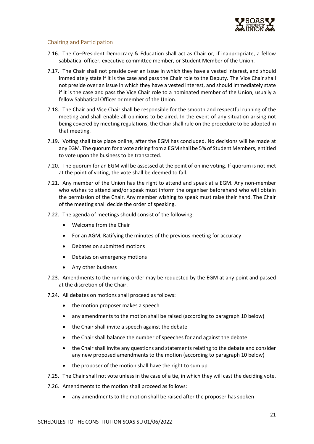

## <span id="page-21-0"></span>Chairing and Participation

- 7.16. The Co–President Democracy & Education shall act as Chair or, if inappropriate, a fellow sabbatical officer, executive committee member, or Student Member of the Union.
- 7.17. The Chair shall not preside over an issue in which they have a vested interest, and should immediately state if it is the case and pass the Chair role to the Deputy. The Vice Chair shall not preside over an issue in which they have a vested interest, and should immediately state if it is the case and pass the Vice Chair role to a nominated member of the Union, usually a fellow Sabbatical Officer or member of the Union.
- 7.18. The Chair and Vice Chair shall be responsible for the smooth and respectful running of the meeting and shall enable all opinions to be aired. In the event of any situation arising not being covered by meeting regulations, the Chair shall rule on the procedure to be adopted in that meeting.
- 7.19. Voting shall take place online, after the EGM has concluded. No decisions will be made at any EGM. The quorum for a vote arising from a EGM shall be 5% of Student Members, entitled to vote upon the business to be transacted.
- 7.20. The quorum for an EGM will be assessed at the point of online voting. If quorum is not met at the point of voting, the vote shall be deemed to fall.
- 7.21. Any member of the Union has the right to attend and speak at a EGM. Any non-member who wishes to attend and/or speak must inform the organiser beforehand who will obtain the permission of the Chair. Any member wishing to speak must raise their hand. The Chair of the meeting shall decide the order of speaking.
- 7.22. The agenda of meetings should consist of the following:
	- Welcome from the Chair
	- For an AGM, Ratifying the minutes of the previous meeting for accuracy
	- Debates on submitted motions
	- Debates on emergency motions
	- Any other business
- 7.23. Amendments to the running order may be requested by the EGM at any point and passed at the discretion of the Chair.
- 7.24. All debates on motions shall proceed as follows:
	- the motion proposer makes a speech
	- any amendments to the motion shall be raised (according to paragraph 10 below)
	- the Chair shall invite a speech against the debate
	- the Chair shall balance the number of speeches for and against the debate
	- the Chair shall invite any questions and statements relating to the debate and consider any new proposed amendments to the motion (according to paragraph 10 below)
	- the proposer of the motion shall have the right to sum up.
- 7.25. The Chair shall not vote unless in the case of a tie, in which they will cast the deciding vote.
- 7.26. Amendments to the motion shall proceed as follows:
	- any amendments to the motion shall be raised after the proposer has spoken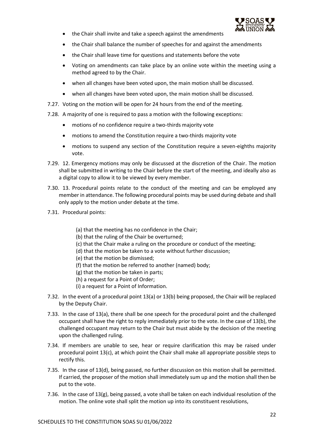

- the Chair shall invite and take a speech against the amendments
- the Chair shall balance the number of speeches for and against the amendments
- the Chair shall leave time for questions and statements before the vote
- Voting on amendments can take place by an online vote within the meeting using a method agreed to by the Chair.
- when all changes have been voted upon, the main motion shall be discussed.
- when all changes have been voted upon, the main motion shall be discussed.
- 7.27. Voting on the motion will be open for 24 hours from the end of the meeting.
- 7.28. A majority of one is required to pass a motion with the following exceptions:
	- motions of no confidence require a two-thirds majority vote
	- motions to amend the Constitution require a two-thirds majority vote
	- motions to suspend any section of the Constitution require a seven-eighths majority vote.
- 7.29. 12. Emergency motions may only be discussed at the discretion of the Chair. The motion shall be submitted in writing to the Chair before the start of the meeting, and ideally also as a digital copy to allow it to be viewed by every member.
- 7.30. 13. Procedural points relate to the conduct of the meeting and can be employed any member in attendance. The following procedural points may be used during debate and shall only apply to the motion under debate at the time.
- 7.31. Procedural points:
	- (a) that the meeting has no confidence in the Chair;
	- (b) that the ruling of the Chair be overturned;
	- (c) that the Chair make a ruling on the procedure or conduct of the meeting;
	- (d) that the motion be taken to a vote without further discussion;
	- (e) that the motion be dismissed;
	- (f) that the motion be referred to another (named) body;
	- (g) that the motion be taken in parts;
	- (h) a request for a Point of Order;
	- (i) a request for a Point of Information.
- 7.32. In the event of a procedural point 13(a) or 13(b) being proposed, the Chair will be replaced by the Deputy Chair.
- 7.33. In the case of 13(a), there shall be one speech for the procedural point and the challenged occupant shall have the right to reply immediately prior to the vote. In the case of 13(b), the challenged occupant may return to the Chair but must abide by the decision of the meeting upon the challenged ruling.
- 7.34. If members are unable to see, hear or require clarification this may be raised under procedural point 13(c), at which point the Chair shall make all appropriate possible steps to rectify this.
- 7.35. In the case of 13(d), being passed, no further discussion on this motion shall be permitted. If carried, the proposer of the motion shall immediately sum up and the motion shall then be put to the vote.
- 7.36. In the case of  $13(g)$ , being passed, a vote shall be taken on each individual resolution of the motion. The online vote shall split the motion up into its constituent resolutions,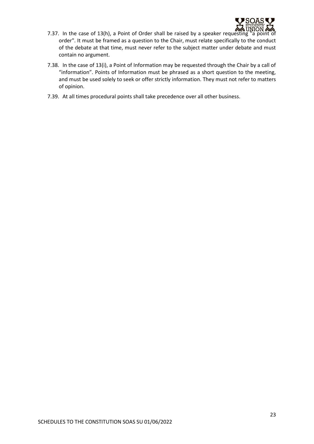

- 7.37. In the case of 13(h), a Point of Order shall be raised by a speaker requesting "a point of order". It must be framed as a question to the Chair, must relate specifically to the conduct of the debate at that time, must never refer to the subject matter under debate and must contain no argument.
- 7.38. In the case of 13(i), a Point of Information may be requested through the Chair by a call of "information". Points of Information must be phrased as a short question to the meeting, and must be used solely to seek or offer strictly information. They must not refer to matters of opinion.
- 7.39. At all times procedural points shall take precedence over all other business.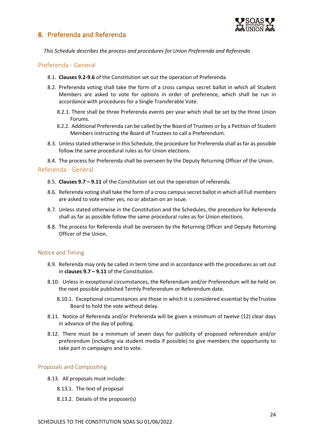<span id="page-24-0"></span>



*This Schedule describes the process and procedures for Union Preferenda and Referenda*

#### <span id="page-24-1"></span>Preferenda - General

- 8.1. **Clauses 9.2-9.6** of the Constitution set out the operation of Preferenda.
- 8.2. Preferenda voting shall take the form of a cross campus secret ballot in which all Student Members are asked to vote for options in order of preference, which shall be run in accordance with procedures for a Single Transferable Vote.
	- 8.2.1. There shall be three Preferenda events per year which shall be set by the three Union Forums.
	- 8.2.2. Additional Preferenda can be called by the Board of Trustees or by a Petition of Student Members instructing the Board of Trustees to call a Preferendum.
- 8.3. Unless stated otherwise in this Schedule, the procedure for Preferenda shall as far as possible follow the same procedural rules as for Union elections.
- 8.4. The process for Preferenda shall be overseen by the Deputy Returning Officer of the Union.

#### <span id="page-24-2"></span>Referenda - General

- 8.5. **Clauses 9.7 – 9.11** of the Constitution set out the operation of referenda.
- 8.6. Referenda voting shall take the form of a cross campus secret ballot in which all Full members are asked to vote either yes, no or abstain on an issue.
- 8.7. Unless stated otherwise in the Constitution and the Schedules, the procedure for Referenda shall as far as possible follow the same procedural rules as for Union elections.
- 8.8. The process for Referenda shall be overseen by the Returning Officer and Deputy Returning Officer of the Union.

#### <span id="page-24-3"></span>Notice and Timing

- 8.9. Referenda may only be called in term time and in accordance with the procedures as set out in **clauses 9.7 – 9.11** of the Constitution.
- 8.10. Unless in exceptional circumstances, the Referendum and/or Preferendum will be held on the next possible published Termly Preferendum or Referendum date.
	- 8.10.1. Exceptional circumstances are those in which it is considered essential by theTrustee Board to hold the vote without delay.
- 8.11. Notice of Referenda and/or Preferenda will be given a minimum of twelve (12) clear days in advance of the day of polling.
- 8.12. There must be a minimum of seven days for publicity of proposed referendum and/or preferendum (including via student media if possible) to give members the opportunity to take part in campaigns and to vote.

## <span id="page-24-4"></span>Proposals and Compositing

- 8.13. All proposals must include:
	- 8.13.1. The text of proposal
	- 8.13.2. Details of the proposer(s)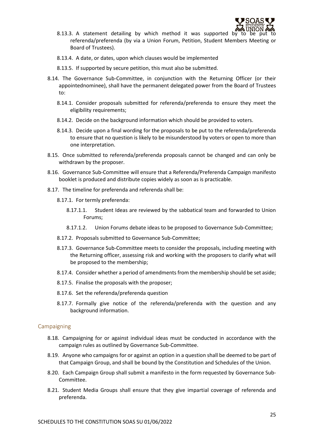

- 8.13.3. A statement detailing by which method it was supported by referenda/preferenda (by via a Union Forum, Petition, Student Members Meeting or Board of Trustees).
- 8.13.4. A date, or dates, upon which clauses would be implemented
- 8.13.5. If supported by secure petition, this must also be submitted.
- 8.14. The Governance Sub-Committee, in conjunction with the Returning Officer (or their appointednominee), shall have the permanent delegated power from the Board of Trustees to:
	- 8.14.1. Consider proposals submitted for referenda/preferenda to ensure they meet the eligibility requirements;
	- 8.14.2. Decide on the background information which should be provided to voters.
	- 8.14.3. Decide upon a final wording for the proposals to be put to the referenda/preferenda to ensure that no question is likely to be misunderstood by voters or open to more than one interpretation.
- 8.15. Once submitted to referenda/preferenda proposals cannot be changed and can only be withdrawn by the proposer.
- 8.16. Governance Sub-Committee will ensure that a Referenda/Preferenda Campaign manifesto booklet is produced and distribute copies widely as soon as is practicable.
- 8.17. The timeline for preferenda and referenda shall be:
	- 8.17.1. For termly preferenda:
		- 8.17.1.1. Student Ideas are reviewed by the sabbatical team and forwarded to Union Forums;
		- 8.17.1.2. Union Forums debate ideas to be proposed to Governance Sub-Committee;
	- 8.17.2. Proposals submitted to Governance Sub-Committee;
	- 8.17.3. Governance Sub-Committee meets to consider the proposals, including meeting with the Returning officer, assessing risk and working with the proposers to clarify what will be proposed to the membership;
	- 8.17.4. Consider whether a period of amendments from the membership should be set aside;
	- 8.17.5. Finalise the proposals with the proposer;
	- 8.17.6. Set the referenda/preferenda question
	- 8.17.7. Formally give notice of the referenda/preferenda with the question and any background information.

#### <span id="page-25-0"></span>**Campaigning**

- 8.18. Campaigning for or against individual ideas must be conducted in accordance with the campaign rules as outlined by Governance Sub-Committee.
- 8.19. Anyone who campaigns for or against an option in a question shall be deemed to be part of that Campaign Group, and shall be bound by the Constitution and Schedules of the Union.
- 8.20. Each Campaign Group shall submit a manifesto in the form requested by Governance Sub-Committee.
- 8.21. Student Media Groups shall ensure that they give impartial coverage of referenda and preferenda.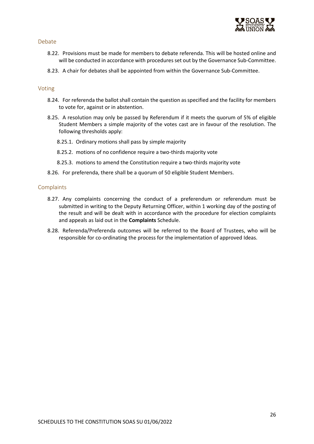

#### <span id="page-26-0"></span>Debate

- 8.22. Provisions must be made for members to debate referenda. This will be hosted online and will be conducted in accordance with procedures set out by the Governance Sub-Committee.
- 8.23. A chair for debates shall be appointed from within the Governance Sub-Committee.

#### <span id="page-26-1"></span>Voting

- 8.24. For referenda the ballot shall contain the question as specified and the facility for members to vote for, against or in abstention.
- 8.25. A resolution may only be passed by Referendum if it meets the quorum of 5% of eligible Student Members a simple majority of the votes cast are in favour of the resolution. The following thresholds apply:
	- 8.25.1. Ordinary motions shall pass by simple majority
	- 8.25.2. motions of no confidence require a two-thirds majority vote
	- 8.25.3. motions to amend the Constitution require a two-thirds majority vote
- 8.26. For preferenda, there shall be a quorum of 50 eligible Student Members.

#### <span id="page-26-2"></span>**Complaints**

- 8.27. Any complaints concerning the conduct of a preferendum or referendum must be submitted in writing to the Deputy Returning Officer, within 1 working day of the posting of the result and will be dealt with in accordance with the procedure for election complaints and appeals as laid out in the **Complaints** Schedule.
- 8.28. Referenda/Preferenda outcomes will be referred to the Board of Trustees, who will be responsible for co-ordinating the process for the implementation of approved Ideas.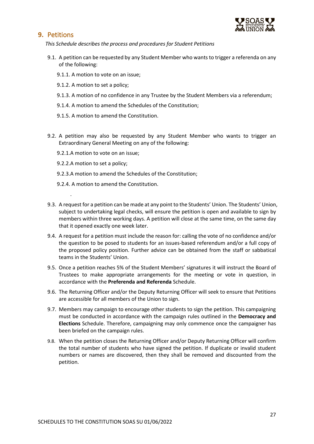

# <span id="page-27-0"></span>**9.** Petitions

*This Schedule describes the process and procedures for Student Petitions*

- 9.1. A petition can be requested by any Student Member who wants to trigger a referenda on any of the following:
	- 9.1.1. A motion to vote on an issue;
	- 9.1.2. A motion to set a policy;
	- 9.1.3. A motion of no confidence in any Trustee by the Student Members via a referendum;
	- 9.1.4. A motion to amend the Schedules of the Constitution;
	- 9.1.5. A motion to amend the Constitution.
- 9.2. A petition may also be requested by any Student Member who wants to trigger an Extraordinary General Meeting on any of the following:
	- 9.2.1.A motion to vote on an issue;
	- 9.2.2.A motion to set a policy;

.

- 9.2.3.A motion to amend the Schedules of the Constitution;
- 9.2.4. A motion to amend the Constitution.
- 9.3. A request for a petition can be made at any point to the Students' Union. The Students' Union, subject to undertaking legal checks, will ensure the petition is open and available to sign by members within three working days. A petition will close at the same time, on the same day that it opened exactly one week later.
- 9.4. A request for a petition must include the reason for: calling the vote of no confidence and/or the question to be posed to students for an issues-based referendum and/or a full copy of the proposed policy position. Further advice can be obtained from the staff or sabbatical teams in the Students' Union.
- 9.5. Once a petition reaches 5% of the Student Members' signatures it will instruct the Board of Trustees to make appropriate arrangements for the meeting or vote in question, in accordance with the **Preferenda and Referenda** Schedule.
- 9.6. The Returning Officer and/or the Deputy Returning Officer will seek to ensure that Petitions are accessible for all members of the Union to sign.
- 9.7. Members may campaign to encourage other students to sign the petition. This campaigning must be conducted in accordance with the campaign rules outlined in the **Democracy and Elections** Schedule. Therefore, campaigning may only commence once the campaigner has been briefed on the campaign rules.
- 9.8. When the petition closes the Returning Officer and/or Deputy Returning Officer will confirm the total number of students who have signed the petition. If duplicate or invalid student numbers or names are discovered, then they shall be removed and discounted from the petition.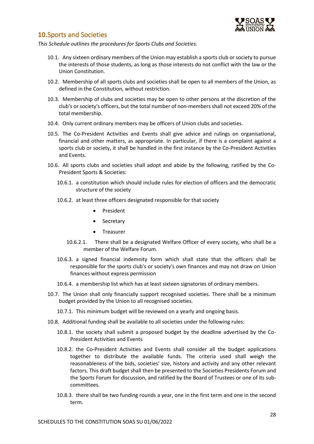

# <span id="page-28-0"></span>**10.**Sports and Societies

*This Schedule outlines the procedures for Sports Clubs and Societies.*

- 10.1. Any sixteen ordinary members of the Union may establish a sports club or society to pursue the interests of those students, as long as those interests do not conflict with the law or the Union Constitution.
- 10.2. Membership of all sports clubs and societies shall be open to all members of the Union, as defined in the Constitution, without restriction.
- 10.3. Membership of clubs and societies may be open to other persons at the discretion of the club's or society's officers, but the total number of non-members shall not exceed 20% of the total membership.
- 10.4. Only current ordinary members may be officers of Union clubs and societies.
- 10.5. The Co-President Activities and Events shall give advice and rulings on organisational, financial and other matters, as appropriate. In particular, if there is a complaint against a sports club or society, it shall be handled in the first instance by the Co-President Activities and Events.
- 10.6. All sports clubs and societies shall adopt and abide by the following, ratified by the Co-President Sports & Societies:
	- 10.6.1. a constitution which should include rules for election of officers and the democratic structure of the society
	- 10.6.2. at least three officers designated responsible for that society
		- **President**
		- **Secretary**
		- **Treasurer**
		- 10.6.2.1. There shall be a designated Welfare Officer of every society, who shall be a member of the Welfare Forum.
	- 10.6.3. a signed financial indemnity form which shall state that the officers shall be responsible for the sports club's or society's own finances and may not draw on Union finances without express permission
	- 10.6.4. a membership list which has at least sixteen signatories of ordinary members.
- 10.7. The Union shall only financially support recognised societies. There shall be a minimum budget provided by the Union to all recognised societies.
	- 10.7.1. This minimum budget will be reviewed on a yearly and ongoing basis.
- 10.8. Additional funding shall be available to all societies under the following rules:
	- 10.8.1. the society shall submit a proposed budget by the deadline advertised by the Co-President Activities and Events
	- 10.8.2. the Co-President Activities and Events shall consider all the budget applications together to distribute the available funds. The criteria used shall weigh the reasonableness of the bids, societies' size, history and activity and any other relevant factors. This draft budget shall then be presented to the Societies Presidents Forum and the Sports Forum for discussion, and ratified by the Board of Trustees or one of its subcommittees.
	- 10.8.3. there shall be two funding rounds a year, one in the first term and one in the second term.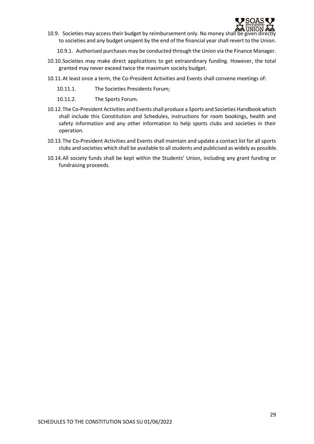

10.9. Societies may access their budget by reimbursement only. No money shall be given directly to societies and any budget unspent by the end of the financial year shall revert to the Union.

10.9.1. Authorised purchases may be conducted through the Union via the Finance Manager.

- 10.10.Societies may make direct applications to get extraordinary funding. However, the total granted may never exceed twice the maximum society budget.
- 10.11.At least once a term, the Co-President Activities and Events shall convene meetings of:
	- 10.11.1. The Societies Presidents Forum;
	- 10.11.2. The Sports Forum.
- 10.12.The Co-President Activities and Eventsshall produce a Sports and Societies Handbook which shall include this Constitution and Schedules, instructions for room bookings, health and safety information and any other information to help sports clubs and societies in their operation.
- 10.13.The Co-President Activities and Events shall maintain and update a contact list for all sports clubs and societies which shall be available to all students and publicised as widely as possible.
- 10.14.All society funds shall be kept within the Students' Union, including any grant funding or fundraising proceeds.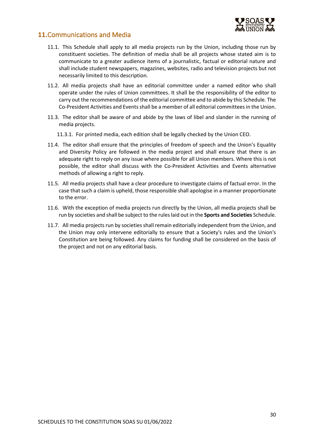

# <span id="page-30-0"></span>**11.**Communications and Media

- 11.1. This Schedule shall apply to all media projects run by the Union, including those run by constituent societies. The definition of media shall be all projects whose stated aim is to communicate to a greater audience items of a journalistic, factual or editorial nature and shall include student newspapers, magazines, websites, radio and television projects but not necessarily limited to this description.
- 11.2. All media projects shall have an editorial committee under a named editor who shall operate under the rules of Union committees. It shall be the responsibility of the editor to carry out the recommendations of the editorial committee and to abide by this Schedule. The Co-President Activities and Eventsshall be a member of all editorial committees in the Union.
- 11.3. The editor shall be aware of and abide by the laws of libel and slander in the running of media projects.
	- 11.3.1. For printed media, each edition shall be legally checked by the Union CEO.
- 11.4. The editor shall ensure that the principles of freedom of speech and the Union's Equality and Diversity Policy are followed in the media project and shall ensure that there is an adequate right to reply on any issue where possible for all Union members. Where this is not possible, the editor shall discuss with the Co-President Activities and Events alternative methods of allowing a right to reply.
- 11.5. All media projects shall have a clear procedure to investigate claims of factual error. In the case that such a claim is upheld, those responsible shall apologise in a manner proportionate to the error.
- 11.6. With the exception of media projects run directly by the Union, all media projects shall be run by societies and shall be subject to the rules laid out in the **Sports and Societies** Schedule.
- 11.7. All media projects run by societies shall remain editorially independent from the Union, and the Union may only intervene editorially to ensure that a Society's rules and the Union's Constitution are being followed. Any claims for funding shall be considered on the basis of the project and not on any editorial basis.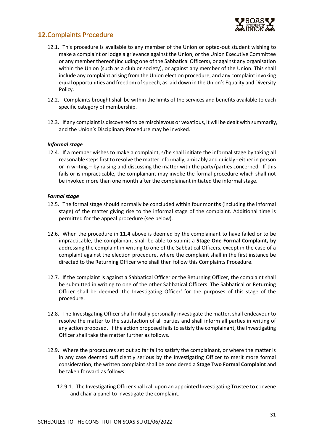

# <span id="page-31-0"></span>**12.**Complaints Procedure

- 12.1. This procedure is available to any member of the Union or opted-out student wishing to make a complaint or lodge a grievance against the Union, or the Union Executive Committee or any member thereof (including one of the Sabbatical Officers), or against any organisation within the Union (such as a club or society), or against any member of the Union. This shall include any complaint arising from the Union election procedure, and any complaint invoking equal opportunities and freedom of speech, as laid down in the Union's Equality and Diversity Policy.
- 12.2. Complaints brought shall be within the limits of the services and benefits available to each specific category of membership.
- 12.3. If any complaint is discovered to be mischievous or vexatious, it will be dealt with summarily, and the Union's Disciplinary Procedure may be invoked.

#### *Informal stage*

12.4. If a member wishes to make a complaint, s/he shall initiate the informal stage by taking all reasonable steps first to resolve the matter informally, amicably and quickly - either in person or in writing – by raising and discussing the matter with the party/parties concerned. If this fails or is impracticable, the complainant may invoke the formal procedure which shall not be invoked more than one month after the complainant initiated the informal stage.

#### *Formal stage*

- 12.5. The formal stage should normally be concluded within four months (including the informal stage) of the matter giving rise to the informal stage of the complaint. Additional time is permitted for the appeal procedure (see below).
- 12.6. When the procedure in **11.4** above is deemed by the complainant to have failed or to be impracticable, the complainant shall be able to submit a **Stage One Formal Complaint, by**  addressing the complaint in writing to one of the Sabbatical Officers, except in the case of a complaint against the election procedure, where the complaint shall in the first instance be directed to the Returning Officer who shall then follow this Complaints Procedure.
- 12.7. If the complaint is against a Sabbatical Officer or the Returning Officer, the complaint shall be submitted in writing to one of the other Sabbatical Officers. The Sabbatical or Returning Officer shall be deemed 'the Investigating Officer' for the purposes of this stage of the procedure.
- 12.8. The Investigating Officer shall initially personally investigate the matter, shall endeavour to resolve the matter to the satisfaction of all parties and shall inform all parties in writing of any action proposed. If the action proposed fails to satisfy the complainant, the Investigating Officer shall take the matter further as follows.
- 12.9. Where the procedures set out so far fail to satisfy the complainant, or where the matter is in any case deemed sufficiently serious by the Investigating Officer to merit more formal consideration, the written complaint shall be considered a **Stage Two Formal Complaint** and be taken forward as follows:
	- 12.9.1. The Investigating Officer shall call upon an appointed Investigating Trustee to convene and chair a panel to investigate the complaint.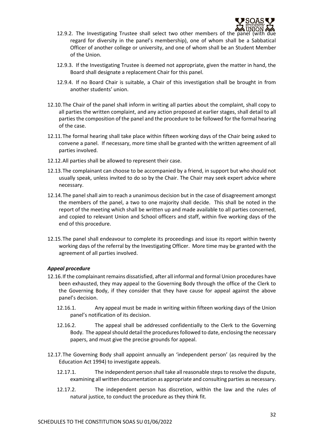

- 12.9.2. The Investigating Trustee shall select two other members of the pane regard for diversity in the panel's membership), one of whom shall be a Sabbatical Officer of another college or university, and one of whom shall be an Student Member of the Union.
- 12.9.3. If the Investigating Trustee is deemed not appropriate, given the matter in hand, the Board shall designate a replacement Chair for this panel.
- 12.9.4. If no Board Chair is suitable, a Chair of this investigation shall be brought in from another students' union.
- 12.10.The Chair of the panel shall inform in writing all parties about the complaint, shall copy to all parties the written complaint, and any action proposed at earlier stages, shall detail to all parties the composition of the panel and the procedure to be followed for the formal hearing of the case.
- 12.11.The formal hearing shall take place within fifteen working days of the Chair being asked to convene a panel. If necessary, more time shall be granted with the written agreement of all parties involved.
- 12.12.All parties shall be allowed to represent their case.
- 12.13.The complainant can choose to be accompanied by a friend, in support but who should not usually speak, unless invited to do so by the Chair. The Chair may seek expert advice where necessary.
- 12.14.The panel shall aim to reach a unanimous decision but in the case of disagreement amongst the members of the panel, a two to one majority shall decide. This shall be noted in the report of the meeting which shall be written up and made available to all parties concerned, and copied to relevant Union and School officers and staff, within five working days of the end of this procedure.
- 12.15.The panel shall endeavour to complete its proceedings and issue its report within twenty working days of the referral by the Investigating Officer. More time may be granted with the agreement of all parties involved.

#### *Appeal procedure*

- 12.16.If the complainant remains dissatisfied, after all informal and formal Union procedures have been exhausted, they may appeal to the Governing Body through the office of the Clerk to the Governing Body, if they consider that they have cause for appeal against the above panel's decision.
	- 12.16.1. Any appeal must be made in writing within fifteen working days of the Union panel's notification of its decision.
	- 12.16.2. The appeal shall be addressed confidentially to the Clerk to the Governing Body. The appeal should detail the procedures followed to date, enclosing the necessary papers, and must give the precise grounds for appeal.
- 12.17.The Governing Body shall appoint annually an 'independent person' (as required by the Education Act 1994) to investigate appeals.
	- 12.17.1. The independent person shall take all reasonable steps to resolve the dispute, examining all written documentation as appropriate and consulting parties as necessary.
	- 12.17.2. The independent person has discretion, within the law and the rules of natural justice, to conduct the procedure as they think fit.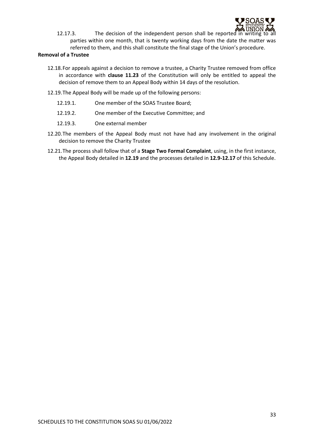

12.17.3. The decision of the independent person shall be reported in writing to all parties within one month, that is twenty working days from the date the matter was referred to them, and this shall constitute the final stage of the Union's procedure.

#### **Removal of a Trustee**

- 12.18.For appeals against a decision to remove a trustee, a Charity Trustee removed from office in accordance with **clause 11.23** of the Constitution will only be entitled to appeal the decision of remove them to an Appeal Body within 14 days of the resolution.
- 12.19.The Appeal Body will be made up of the following persons:
	- 12.19.1. One member of the SOAS Trustee Board;
	- 12.19.2. One member of the Executive Committee; and
	- 12.19.3. One external member
- 12.20.The members of the Appeal Body must not have had any involvement in the original decision to remove the Charity Trustee
- 12.21.The process shall follow that of a **Stage Two Formal Complaint**, using, in the first instance, the Appeal Body detailed in **12.19** and the processes detailed in **12.9-12.17** of this Schedule.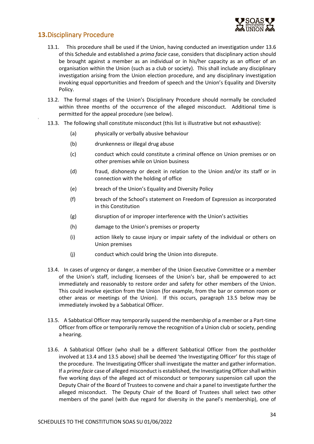

# <span id="page-34-0"></span>**13.**Disciplinary Procedure

- 13.1. This procedure shall be used if the Union, having conducted an investigation under 13.6 of this Schedule and established a *prima facie* case, considers that disciplinary action should be brought against a member as an individual or in his/her capacity as an officer of an organisation within the Union (such as a club or society). This shall include any disciplinary investigation arising from the Union election procedure, and any disciplinary investigation invoking equal opportunities and freedom of speech and the Union's Equality and Diversity Policy.
- 13.2. The formal stages of the Union's Disciplinary Procedure should normally be concluded within three months of the occurrence of the alleged misconduct. Additional time is permitted for the appeal procedure (see below).
- 13.3. The following shall constitute misconduct (this list is illustrative but not exhaustive):
	- (a) physically or verbally abusive behaviour
	- (b) drunkenness or illegal drug abuse
	- (c) conduct which could constitute a criminal offence on Union premises or on other premises while on Union business
	- (d) fraud, dishonesty or deceit in relation to the Union and/or its staff or in connection with the holding of office
	- (e) breach of the Union's Equality and Diversity Policy
	- (f) breach of the School's statement on Freedom of Expression as incorporated in this Constitution
	- (g) disruption of or improper interference with the Union's activities
	- (h) damage to the Union's premises or property
	- (i) action likely to cause injury or impair safety of the individual or others on Union premises
	- (j) conduct which could bring the Union into disrepute.
- 13.4. In cases of urgency or danger, a member of the Union Executive Committee or a member of the Union's staff, including licensees of the Union's bar, shall be empowered to act immediately and reasonably to restore order and safety for other members of the Union. This could involve ejection from the Union (for example, from the bar or common room or other areas or meetings of the Union). If this occurs, paragraph 13.5 below may be immediately invoked by a Sabbatical Officer.
- 13.5. A Sabbatical Officer may temporarily suspend the membership of a member or a Part-time Officer from office or temporarily remove the recognition of a Union club or society, pending a hearing.
- 13.6. A Sabbatical Officer (who shall be a different Sabbatical Officer from the postholder involved at 13.4 and 13.5 above) shall be deemed 'the Investigating Officer' for this stage of the procedure. The Investigating Officer shall investigate the matter and gather information. If a *prima facie* case of alleged misconduct is established, the Investigating Officer shall within five working days of the alleged act of misconduct or temporary suspension call upon the Deputy Chair of the Board of Trustees to convene and chair a panel to investigate further the alleged misconduct. The Deputy Chair of the Board of Trustees shall select two other members of the panel (with due regard for diversity in the panel's membership), one of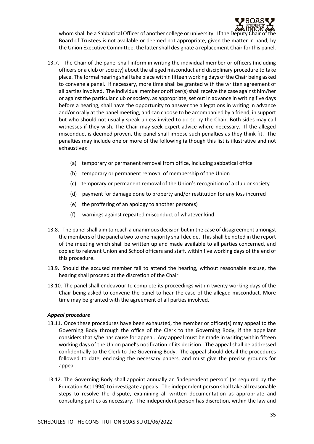

whom shall be a Sabbatical Officer of another college or university. If the Deputy Chair of the Board of Trustees is not available or deemed not appropriate, given the matter in hand, by the Union Executive Committee, the latter shall designate a replacement Chair for this panel.

- 13.7. The Chair of the panel shall inform in writing the individual member or officers (including officers or a club or society) about the alleged misconduct and disciplinary procedure to take place. The formal hearing shall take place within fifteen working days of the Chair being asked to convene a panel. If necessary, more time shall be granted with the written agreement of all parties involved. The individual member or officer(s) shall receive the case against him/her or against the particular club or society, as appropriate, set out in advance in writing five days before a hearing, shall have the opportunity to answer the allegations in writing in advance and/or orally at the panel meeting, and can choose to be accompanied by a friend, in support but who should not usually speak unless invited to do so by the Chair. Both sides may call witnesses if they wish. The Chair may seek expert advice where necessary. If the alleged misconduct is deemed proven, the panel shall impose such penalties as they think fit. The penalties may include one or more of the following (although this list is illustrative and not exhaustive):
	- (a) temporary or permanent removal from office, including sabbatical office
	- (b) temporary or permanent removal of membership of the Union
	- (c) temporary or permanent removal of the Union's recognition of a club or society
	- (d) payment for damage done to property and/or restitution for any loss incurred
	- (e) the proffering of an apology to another person(s)
	- (f) warnings against repeated misconduct of whatever kind.
- 13.8. The panel shall aim to reach a unanimous decision but in the case of disagreement amongst the members of the panel a two to one majority shall decide. This shall be noted in the report of the meeting which shall be written up and made available to all parties concerned, and copied to relevant Union and School officers and staff, within five working days of the end of this procedure.
- 13.9. Should the accused member fail to attend the hearing, without reasonable excuse, the hearing shall proceed at the discretion of the Chair.
- 13.10. The panel shall endeavour to complete its proceedings within twenty working days of the Chair being asked to convene the panel to hear the case of the alleged misconduct. More time may be granted with the agreement of all parties involved.

#### *Appeal procedure*

- 13.11. Once these procedures have been exhausted, the member or officer(s) may appeal to the Governing Body through the office of the Clerk to the Governing Body, if the appellant considers that s/he has cause for appeal. Any appeal must be made in writing within fifteen working days of the Union panel's notification of its decision. The appeal shall be addressed confidentially to the Clerk to the Governing Body. The appeal should detail the procedures followed to date, enclosing the necessary papers, and must give the precise grounds for appeal.
- 13.12. The Governing Body shall appoint annually an 'independent person' (as required by the Education Act 1994) to investigate appeals. The independent person shall take all reasonable steps to resolve the dispute, examining all written documentation as appropriate and consulting parties as necessary. The independent person has discretion, within the law and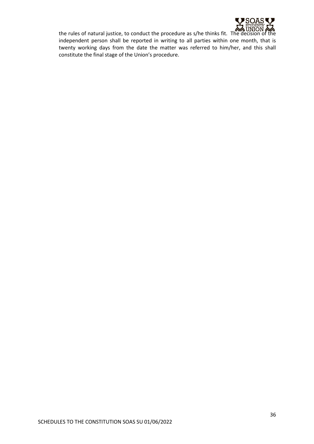

the rules of natural justice, to conduct the procedure as s/he thinks fit. The decision of the independent person shall be reported in writing to all parties within one month, that is twenty working days from the date the matter was referred to him/her, and this shall constitute the final stage of the Union's procedure.